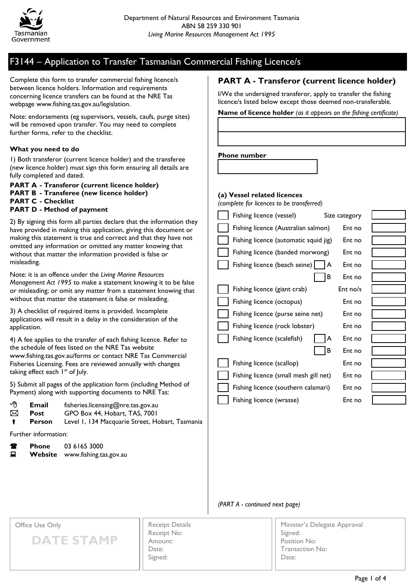

Complete this form to transfer commercial fishing licence/s between licence holders. Information and requirements concerning licence transfers can be found at the NRE Tas webpage www.fishing.tas.gov.au/legislation.

Note: endorsements (eg supervisors, vessels, caufs, purge sites) will be removed upon transfer. You may need to complete further forms, refer to the checklist.

#### **What you need to do**

1) Both transferor (current licence holder) and the transferee (new licence holder) must sign this form ensuring all details are fully completed and dated.

**PART A - Transferor (current licence holder) PART B - Transferee (new licence holder) PART C - Checklist PART D - Method of payment**

2) By signing this form all parties declare that the information they have provided in making this application, giving this document or making this statement is true and correct and that they have not omitted any information or omitted any matter knowing that without that matter the information provided is false or misleading.

Note: it is an offence under the *Living Marine Resources Management Act 1995* to make a statement knowing it to be false or misleading; or omit any matter from a statement knowing that without that matter the statement is false or misleading.

3) A checklist of required items is provided. Incomplete applications will result in a delay in the consideration of the application.

4) A fee applies to the transfer of each fishing licence. Refer to the schedule of fees listed on the NRE Tas website www.fishing.tas.gov.au/forms or contact NRE Tas Commercial Fisheries Licensing. Fees are reviewed annually with changes taking effect each  $I<sup>st</sup>$  of July.

5) Submit all pages of the application form (including Method of Payment) along with supporting documents to NRE Tas:

| - ∕⊕ | Email | fisheries.licensing@nre.tas.gov.au |
|------|-------|------------------------------------|
| ⊠    | Post  | GPO Box 44, Hobart, TAS, 7001      |

**Person** Level 1, 134 Macquarie Street, Hobart, Tasmania

Further information:

| Ŧ | <b>Phone</b> | 03 6165 3000           |
|---|--------------|------------------------|
| 旦 | Website      | www.fishing.tas.gov.au |

### **PART A - Transferor (current licence holder)**

I/We the undersigned transferor, apply to transfer the fishing licence/s listed below except those deemed non-transferable.

**Name of licence holder** *(as it appears on the fishing certificate)*

#### **Phone number**

#### **(a) Vessel related licences**

*(complete for licences to be transferred)*

| Fishing licence (vessel)              |    | Size category | Chosef |
|---------------------------------------|----|---------------|--------|
| Fishing licence (Australian salmon)   |    | Ent no        |        |
| Fishing licence (automatic squid jig) |    | Ent no        |        |
| Fishing licence (banded morwong)      |    | Ent no        |        |
| Fishing licence (beach seine)         | ΙA | Ent no        |        |
|                                       | В  | Ent no        |        |
| Fishing licence (giant crab)          |    | $Ent$ no/s    |        |
| Fishing licence (octopus)             |    | Ent no        |        |
| Fishing licence (purse seine net)     |    | Ent no        |        |
| Fishing licence (rock lobster)        |    | Ent no        |        |
| Fishing licence (scalefish)           | A  | Ent no        |        |
|                                       | В  | Ent no        |        |
| Fishing licence (scallop)             |    | Ent no        |        |
| Fishing licence (small mesh gill net) |    | Ent no        |        |
| Fishing licence (southern calamari)   |    | Ent no        |        |
| Fishing licence (wrasse)              |    | Ent no        |        |

#### *(PART A - continued next page)*

#### Office Use Only

**DATE STAMP**

| <b>Receipt Details</b> |
|------------------------|
| Receipt No:            |
| Amount:                |
| Date:                  |
| Signed:                |
|                        |

Minister's Delegate Approval Signed: Position No: Transaction No: Date: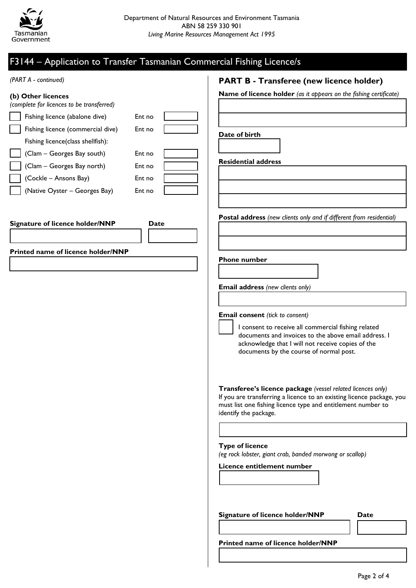

| (PART A - continued)                                            | <b>PART B - Transferee (new licence holder)</b>                                                                                       |
|-----------------------------------------------------------------|---------------------------------------------------------------------------------------------------------------------------------------|
| (b) Other licences<br>(complete for licences to be transferred) | Name of licence holder (as it appears on the fishing certificate)                                                                     |
| Fishing licence (abalone dive)<br>Ent no                        |                                                                                                                                       |
| Fishing licence (commercial dive)<br>Ent no                     |                                                                                                                                       |
| Fishing licence(class shellfish):                               | Date of birth                                                                                                                         |
| (Clam - Georges Bay south)<br>Ent no                            |                                                                                                                                       |
| (Clam - Georges Bay north)<br>Ent no                            | <b>Residential address</b>                                                                                                            |
| (Cockle - Ansons Bay)<br>Ent no                                 |                                                                                                                                       |
| (Native Oyster - Georges Bay)<br>Ent no                         |                                                                                                                                       |
|                                                                 |                                                                                                                                       |
| Signature of licence holder/NNP<br>Date                         | Postal address (new clients only and if different from residential)                                                                   |
|                                                                 |                                                                                                                                       |
|                                                                 |                                                                                                                                       |
| Printed name of licence holder/NNP                              | <b>Phone number</b>                                                                                                                   |
|                                                                 |                                                                                                                                       |
|                                                                 |                                                                                                                                       |
|                                                                 | Email address (new clients only)                                                                                                      |
|                                                                 |                                                                                                                                       |
|                                                                 | <b>Email consent</b> (tick to consent)                                                                                                |
|                                                                 | I consent to receive all commercial fishing related                                                                                   |
|                                                                 | documents and invoices to the above email address. I<br>acknowledge that I will not receive copies of the                             |
|                                                                 | documents by the course of normal post.                                                                                               |
|                                                                 |                                                                                                                                       |
|                                                                 |                                                                                                                                       |
|                                                                 | Transferee's licence package (vessel related licences only)                                                                           |
|                                                                 | If you are transferring a licence to an existing licence package, you<br>must list one fishing licence type and entitlement number to |
|                                                                 | identify the package.                                                                                                                 |
|                                                                 |                                                                                                                                       |
|                                                                 |                                                                                                                                       |
|                                                                 | <b>Type of licence</b><br>(eg rock lobster, giant crab, banded morwong or scallop)                                                    |
|                                                                 | Licence entitlement number                                                                                                            |
|                                                                 |                                                                                                                                       |
|                                                                 |                                                                                                                                       |
|                                                                 |                                                                                                                                       |
|                                                                 | Date                                                                                                                                  |
|                                                                 | Signature of licence holder/NNP                                                                                                       |
|                                                                 |                                                                                                                                       |
|                                                                 | Printed name of licence holder/NNP                                                                                                    |
|                                                                 |                                                                                                                                       |
|                                                                 |                                                                                                                                       |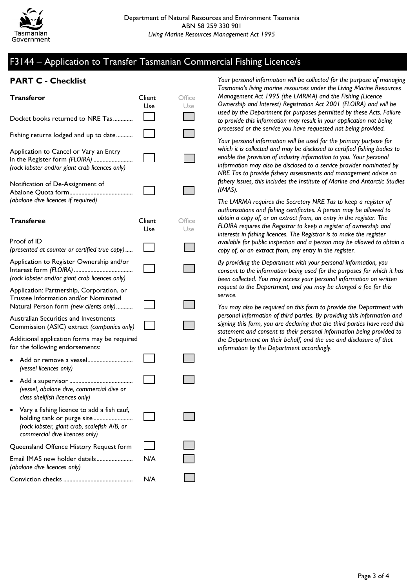

### **PART C - Checklist**

| <b>Transferor</b>                                                                                                                                          | Client<br>Use | Office<br>Use |
|------------------------------------------------------------------------------------------------------------------------------------------------------------|---------------|---------------|
| Docket books returned to NRE Tas                                                                                                                           |               |               |
| Fishing returns lodged and up to date                                                                                                                      |               |               |
| Application to Cancel or Vary an Entry<br>in the Register form (FLOIRA)<br>(rock lobster and/or giant crab licences only)                                  |               |               |
| Notification of De-Assignment of<br>(abalone dive licences if required)                                                                                    |               |               |
| <b>Transferee</b>                                                                                                                                          | Client<br>Use | Office<br>Use |
| Proof of ID<br>(presented at counter or certified true copy)                                                                                               |               |               |
| Application to Register Ownership and/or<br>Interest form (FLOIRA)<br>(rock lobster and/or giant crab licences only)                                       |               |               |
| Application: Partnership, Corporation, or<br>Trustee Information and/or Nominated<br>Natural Person form (new clients only)                                |               |               |
| Australian Securities and Investments<br>Commission (ASIC) extract (companies only)                                                                        |               |               |
| Additional application forms may be required<br>for the following endorsements:                                                                            |               |               |
| Add or remove a vessel<br>(vessel licences only)                                                                                                           |               |               |
| Add a supervisor<br>(vessel, abalone dive, commercial dive or<br>class shellfish licences only)                                                            |               |               |
| Vary a fishing licence to add a fish cauf,<br>holding tank or purge site<br>(rock lobster, giant crab, scalefish A/B, or<br>commercial dive licences only) |               |               |
| Queensland Offence History Request form                                                                                                                    |               |               |
| Email IMAS new holder details<br>(abalone dive licences only)                                                                                              | N/A           |               |
|                                                                                                                                                            | N/A           |               |

*Your personal information will be collected for the purpose of managing Tasmania's living marine resources under the Living Marine Resources Management Act 1995 (the LMRMA) and the Fishing (Licence Ownership and Interest) Registration Act 2001 (FLOIRA) and will be used by the Department for purposes permitted by these Acts. Failure to provide this information may result in your application not being processed or the service you have requested not being provided.*

*Your personal information will be used for the primary purpose for which it is collected and may be disclosed to certified fishing bodies to enable the provision of industry information to you. Your personal information may also be disclosed to a service provider nominated by NRE Tas to provide fishery assessments and management advice on fishery issues, this includes the Institute of Marine and Antarctic Studies (IMAS).*

*The LMRMA requires the Secretary NRE Tas to keep a register of authorisations and fishing certificates. A person may be allowed to obtain a copy of, or an extract from, an entry in the register. The FLOIRA requires the Registrar to keep a register of ownership and interests in fishing licences. The Registrar is to make the register available for public inspection and a person may be allowed to obtain a copy of, or an extract from, any entry in the register.*

*By providing the Department with your personal information, you consent to the information being used for the purposes for which it has been collected. You may access your personal information on written request to the Department, and you may be charged a fee for this service.*

*You may also be required on this form to provide the Department with personal information of third parties. By providing this information and signing this form, you are declaring that the third parties have read this statement and consent to their personal information being provided to the Department on their behalf, and the use and disclosure of that information by the Department accordingly.*